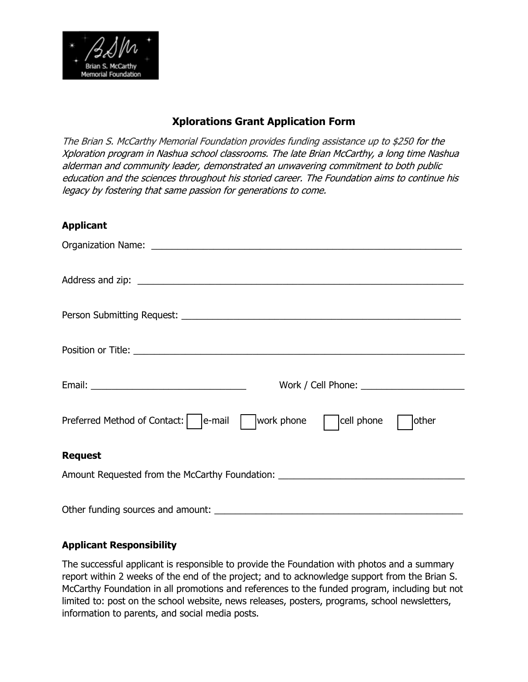

### **Xplorations Grant Application Form**

The Brian S. McCarthy Memorial Foundation provides funding assistance up to \$250 for the Xploration program in Nashua school classrooms. The late Brian McCarthy, a long time Nashua alderman and community leader, demonstrated an unwavering commitment to both public education and the sciences throughout his storied career. The Foundation aims to continue his legacy by fostering that same passion for generations to come.

#### **Applicant**

| Work / Cell Phone: <u>www.community.com</u>                                      |  |  |
|----------------------------------------------------------------------------------|--|--|
| work phone<br>Preferred Method of Contact:   e-mail<br>cell phone<br>other       |  |  |
| <b>Request</b>                                                                   |  |  |
| Amount Requested from the McCarthy Foundation: _________________________________ |  |  |
| Other funding sources and amount:                                                |  |  |

#### **Applicant Responsibility**

The successful applicant is responsible to provide the Foundation with photos and a summary report within 2 weeks of the end of the project; and to acknowledge support from the Brian S. McCarthy Foundation in all promotions and references to the funded program, including but not limited to: post on the school website, news releases, posters, programs, school newsletters, information to parents, and social media posts.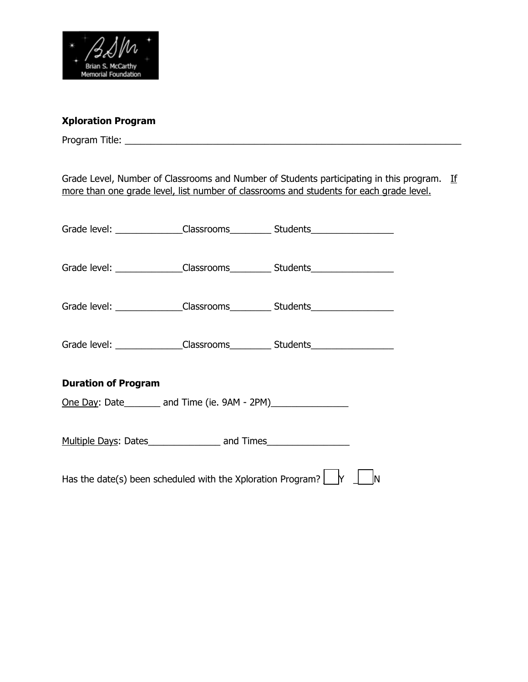

## **Xploration Program**

Program Title: \_\_\_\_\_\_\_\_\_\_\_\_\_\_\_\_\_\_\_\_\_\_\_\_\_\_\_\_\_\_\_\_\_\_\_\_\_\_\_\_\_\_\_\_\_\_\_\_\_\_\_\_\_\_\_\_\_\_\_\_\_\_\_\_\_

Grade Level, Number of Classrooms and Number of Students participating in this program. If more than one grade level, list number of classrooms and students for each grade level.

|                                                                                                               |  | Grade level: ______________Classrooms____________Students_______________________ |  |
|---------------------------------------------------------------------------------------------------------------|--|----------------------------------------------------------------------------------|--|
|                                                                                                               |  | Grade level: ______________Classrooms____________ Students______________________ |  |
|                                                                                                               |  | Grade level: ______________Classrooms____________Students_______________________ |  |
|                                                                                                               |  | Grade level: ______________Classrooms_____________Students______________________ |  |
| <b>Duration of Program</b>                                                                                    |  |                                                                                  |  |
| <u>One Day</u> : Date_________ and Time (ie. 9AM - 2PM)_________________________________                      |  |                                                                                  |  |
|                                                                                                               |  |                                                                                  |  |
| Has the date(s) been scheduled with the Xploration Program? $\lfloor \frac{1}{2} \rfloor$ $\lfloor N \rfloor$ |  |                                                                                  |  |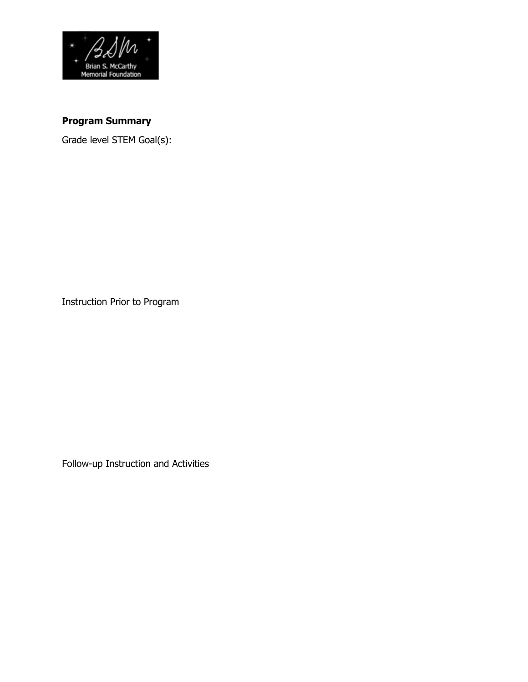

# **Program Summary**

Grade level STEM Goal(s):

Instruction Prior to Program

Follow-up Instruction and Activities